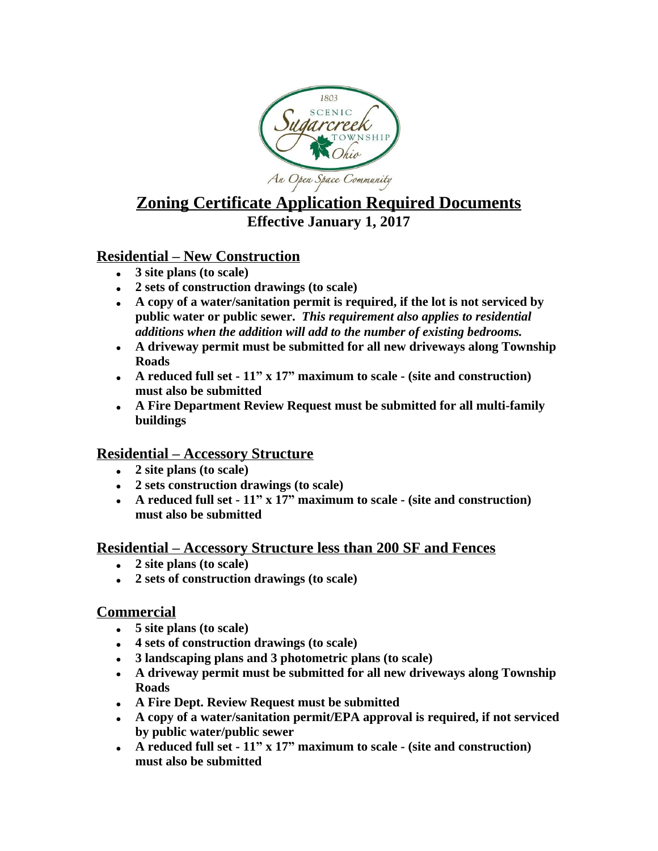

# **Zoning Certificate Application Required Documents Effective January 1, 2017**

# **Residential – New Construction**

- **3 site plans (to scale)**
- **2 sets of construction drawings (to scale)**
- **A copy of a water/sanitation permit is required, if the lot is not serviced by public water or public sewer.** *This requirement also applies to residential additions when the addition will add to the number of existing bedrooms.*
- **A driveway permit must be submitted for all new driveways along Township Roads**
- **A reduced full set 11" x 17" maximum to scale (site and construction) must also be submitted**
- **A Fire Department Review Request must be submitted for all multi-family buildings**

# **Residential – Accessory Structure**

- **2 site plans (to scale)**
- **2 sets construction drawings (to scale)**
- **A reduced full set 11" x 17" maximum to scale (site and construction) must also be submitted**

#### **Residential – Accessory Structure less than 200 SF and Fences**

- **2 site plans (to scale)**
- **2 sets of construction drawings (to scale)**

#### **Commercial**

- **5 site plans (to scale)**
- **4 sets of construction drawings (to scale)**
- **3 landscaping plans and 3 photometric plans (to scale)**
- **A driveway permit must be submitted for all new driveways along Township Roads**
- **A Fire Dept. Review Request must be submitted**
- **A copy of a water/sanitation permit/EPA approval is required, if not serviced by public water/public sewer**
- **A reduced full set 11" x 17" maximum to scale (site and construction) must also be submitted**